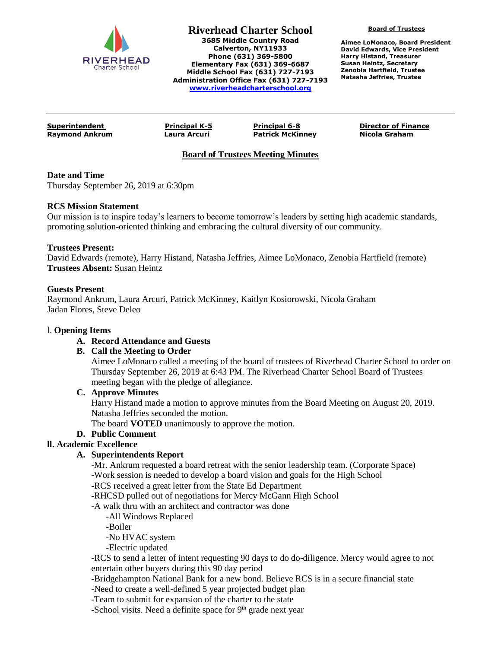

**Riverhead Charter School 3685 Middle Country Road Calverton, NY11933 Phone (631) 369-5800 Elementary Fax (631) 369-6687 Middle School Fax (631) 727-7193 Administration Office Fax (631) 727-7193 [www.riverheadcharterschool.org](http://www.riverheadcharterschool.org/)**

**Board of Trustees**

**Aimee LoMonaco, Board President David Edwards, Vice President Harry Histand, Treasurer Susan Heintz, Secretary Zenobia Hartfield, Trustee Natasha Jeffries, Trustee**

**Raymond Ankrum Laura Arcuri Patrick McKinney Nicola Graham**

**Superintendent Principal K-5 Principal 6-8 Director of Finance**

# **Board of Trustees Meeting Minutes**

## **Date and Time**

Thursday September 26, 2019 at 6:30pm

## **RCS Mission Statement**

Our mission is to inspire today's learners to become tomorrow's leaders by setting high academic standards, promoting solution-oriented thinking and embracing the cultural diversity of our community.

## **Trustees Present:**

David Edwards (remote), Harry Histand, Natasha Jeffries, Aimee LoMonaco, Zenobia Hartfield (remote) **Trustees Absent:** Susan Heintz

## **Guests Present**

Raymond Ankrum, Laura Arcuri, Patrick McKinney, Kaitlyn Kosiorowski, Nicola Graham Jadan Flores, Steve Deleo

#### l. **Opening Items**

# **A. Record Attendance and Guests**

# **B. Call the Meeting to Order**

Aimee LoMonaco called a meeting of the board of trustees of Riverhead Charter School to order on Thursday September 26, 2019 at 6:43 PM. The Riverhead Charter School Board of Trustees meeting began with the pledge of allegiance.

# **C. Approve Minutes**

Harry Histand made a motion to approve minutes from the Board Meeting on August 20, 2019. Natasha Jeffries seconded the motion.

The board **VOTED** unanimously to approve the motion.

# **D. Public Comment**

# **ll. Academic Excellence**

# **A. Superintendents Report**

-Mr. Ankrum requested a board retreat with the senior leadership team. (Corporate Space) -Work session is needed to develop a board vision and goals for the High School

-RCS received a great letter from the State Ed Department

-RHCSD pulled out of negotiations for Mercy McGann High School

- -A walk thru with an architect and contractor was done
	- -All Windows Replaced

-Boiler

-No HVAC system

-Electric updated

-RCS to send a letter of intent requesting 90 days to do do-diligence. Mercy would agree to not entertain other buyers during this 90 day period

-Bridgehampton National Bank for a new bond. Believe RCS is in a secure financial state

-Need to create a well-defined 5 year projected budget plan

-Team to submit for expansion of the charter to the state

-School visits. Need a definite space for  $9<sup>th</sup>$  grade next year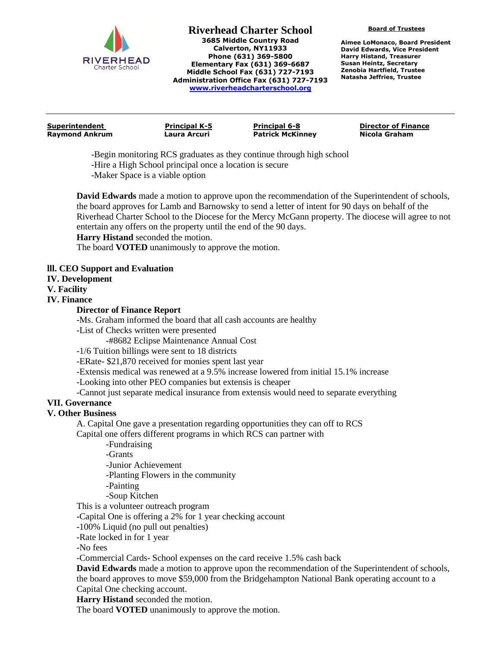

**Riverhead Charter School 3685 Middle Country Road Calverton, NY11933 Phone (631) 369-5800 Elementary Fax (631) 369-6687 Middle School Fax (631) 727-7193 Administration Office Fax (631) 727-7193 [www.riverheadcharterschool.org](http://www.riverheadcharterschool.org/)**

**Board of Trustees**

**Aimee LoMonaco, Board President David Edwards, Vice President Harry Histand, Treasurer Susan Heintz, Secretary Zenobia Hartfield, Trustee Natasha Jeffries, Trustee**

**Superintendent Principal K-5 Principal 6-8 Director of Finance Raymond Ankrum Laura Arcuri Patrick McKinney Nicola Graham**

-Begin monitoring RCS graduates as they continue through high school -Hire a High School principal once a location is secure -Maker Space is a viable option

**David Edwards** made a motion to approve upon the recommendation of the Superintendent of schools, the board approves for Lamb and Barnowsky to send a letter of intent for 90 days on behalf of the Riverhead Charter School to the Diocese for the Mercy McGann property. The diocese will agree to not entertain any offers on the property until the end of the 90 days.

**Harry Histand** seconded the motion.

The board **VOTED** unanimously to approve the motion.

# **lll. CEO Support and Evaluation**

## **IV. Development**

#### **V. Facility**

**IV. Finance**

## **Director of Finance Report**

-Ms. Graham informed the board that all cash accounts are healthy

-List of Checks written were presented

-#8682 Eclipse Maintenance Annual Cost

-1/6 Tuition billings were sent to 18 districts

-ERate- \$21,870 received for monies spent last year

-Extensis medical was renewed at a 9.5% increase lowered from initial 15.1% increase

-Looking into other PEO companies but extensis is cheaper

-Cannot just separate medical insurance from extensis would need to separate everything

# **VII. Governance**

#### **V. Other Business**

A. Capital One gave a presentation regarding opportunities they can off to RCS Capital one offers different programs in which RCS can partner with

-Fundraising

-Grants

-Junior Achievement

-Planting Flowers in the community

-Painting

-Soup Kitchen

This is a volunteer outreach program

-Capital One is offering a 2% for 1 year checking account

-100% Liquid (no pull out penalties)

-Rate locked in for 1 year

-No fees

-Commercial Cards- School expenses on the card receive 1.5% cash back

**David Edwards** made a motion to approve upon the recommendation of the Superintendent of schools, the board approves to move \$59,000 from the Bridgehampton National Bank operating account to a Capital One checking account.

**Harry Histand** seconded the motion.

The board **VOTED** unanimously to approve the motion.